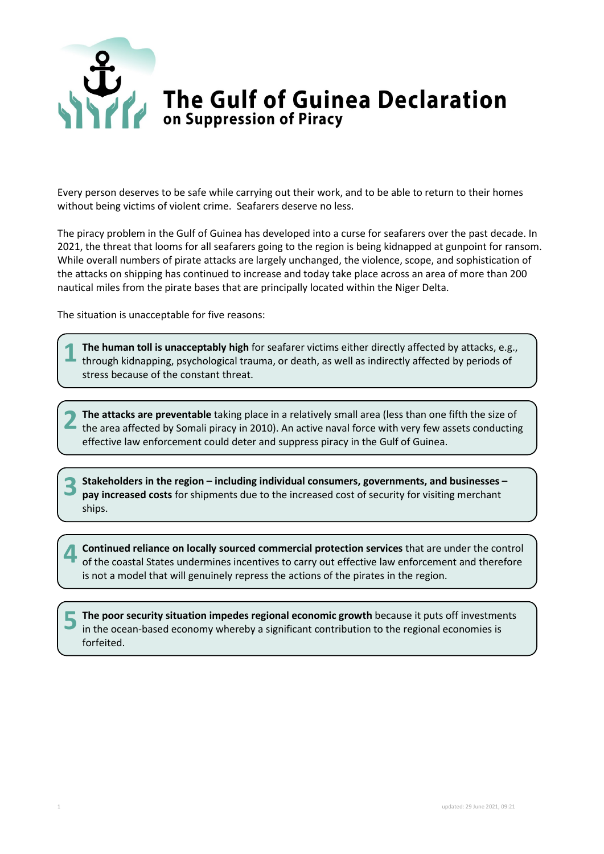

Every person deserves to be safe while carrying out their work, and to be able to return to their homes without being victims of violent crime. Seafarers deserve no less.

The piracy problem in the Gulf of Guinea has developed into a curse for seafarers over the past decade. In 2021, the threat that looms for all seafarers going to the region is being kidnapped at gunpoint for ransom. While overall numbers of pirate attacks are largely unchanged, the violence, scope, and sophistication of the attacks on shipping has continued to increase and today take place across an area of more than 200 nautical miles from the pirate bases that are principally located within the Niger Delta.

The situation is unacceptable for five reasons:

**The human toll is unacceptably high** for seafarer victims either directly affected by attacks, e.g., through kidnapping, psychological trauma, or death, as well as indirectly affected by periods of stress because of the constant threat. **1**

**The attacks are preventable** taking place in a relatively small area (less than one fifth the size of the area affected by Somali piracy in 2010). An active naval force with very few assets conducting effective law enforcement could deter and suppress piracy in the Gulf of Guinea. **2**

**Stakeholders in the region – including individual consumers, governments, and businesses – pay increased costs** for shipments due to the increased cost of security for visiting merchant ships. **3**

**Continued reliance on locally sourced commercial protection services** that are under the control of the coastal States undermines incentives to carry out effective law enforcement and therefore is not a model that will genuinely repress the actions of the pirates in the region. **4**

**The poor security situation impedes regional economic growth** because it puts off investments in the ocean-based economy whereby a significant contribution to the regional economies is forfeited. **5**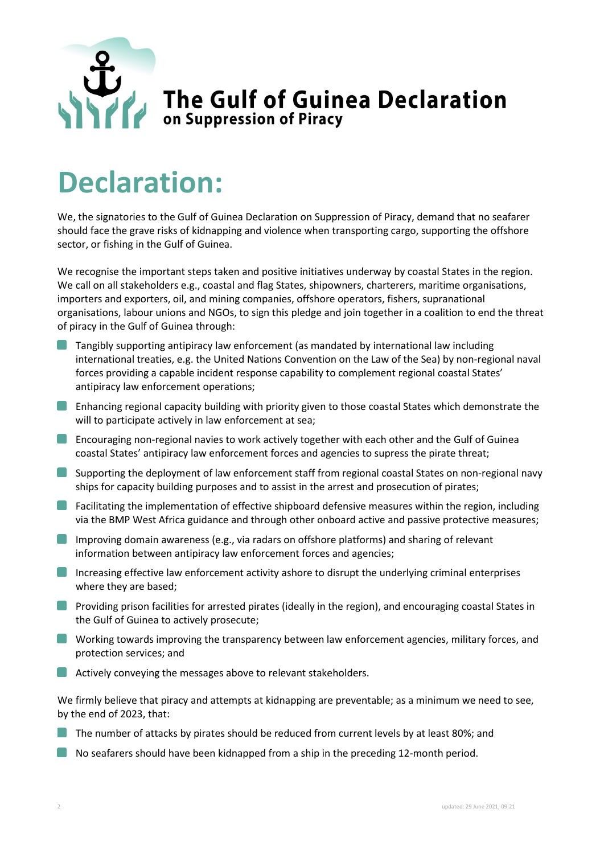

## **Declaration:**

We, the signatories to the Gulf of Guinea Declaration on Suppression of Piracy, demand that no seafarer should face the grave risks of kidnapping and violence when transporting cargo, supporting the offshore sector, or fishing in the Gulf of Guinea.

We recognise the important steps taken and positive initiatives underway by coastal States in the region. We call on all stakeholders e.g., coastal and flag States, shipowners, charterers, maritime organisations, importers and exporters, oil, and mining companies, offshore operators, fishers, supranational organisations, labour unions and NGOs, to sign this pledge and join together in a coalition to end the threat of piracy in the Gulf of Guinea through:

- **Tangibly supporting antipiracy law enforcement (as mandated by international law including** international treaties, e.g. the United Nations Convention on the Law of the Sea) by non-regional naval forces providing a capable incident response capability to complement regional coastal States' antipiracy law enforcement operations;
- **Enhancing regional capacity building with priority given to those coastal States which demonstrate the** will to participate actively in law enforcement at sea;
- Encouraging non-regional navies to work actively together with each other and the Gulf of Guinea coastal States' antipiracy law enforcement forces and agencies to supress the pirate threat;
- Supporting the deployment of law enforcement staff from regional coastal States on non-regional navy ships for capacity building purposes and to assist in the arrest and prosecution of pirates;
- **Facilitating the implementation of effective shipboard defensive measures within the region, including** via the BMP West Africa guidance and through other onboard active and passive protective measures;
- Improving domain awareness (e.g., via radars on offshore platforms) and sharing of relevant information between antipiracy law enforcement forces and agencies;
- Increasing effective law enforcement activity ashore to disrupt the underlying criminal enterprises where they are based;
- **Providing prison facilities for arrested pirates (ideally in the region), and encouraging coastal States in** the Gulf of Guinea to actively prosecute;
- **U** Working towards improving the transparency between law enforcement agencies, military forces, and protection services; and
- **Actively conveying the messages above to relevant stakeholders.**

We firmly believe that piracy and attempts at kidnapping are preventable; as a minimum we need to see, by the end of 2023, that:

- The number of attacks by pirates should be reduced from current levels by at least 80%; and
- No seafarers should have been kidnapped from a ship in the preceding 12-month period.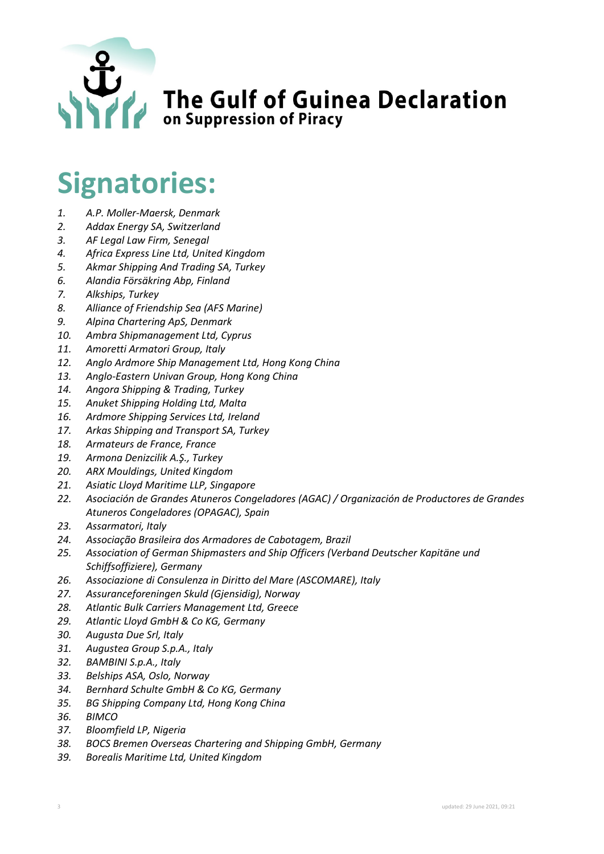

## **Signatories:**

- *1. A.P. Moller-Maersk, Denmark*
- *2. Addax Energy SA, Switzerland*
- *3. AF Legal Law Firm, Senegal*
- *4. Africa Express Line Ltd, United Kingdom*
- *5. Akmar Shipping And Trading SA, Turkey*
- *6. Alandia Försäkring Abp, Finland*
- *7. Alkships, Turkey*
- *8. Alliance of Friendship Sea (AFS Marine)*
- *9. Alpina Chartering ApS, Denmark*
- *10. Ambra Shipmanagement Ltd, Cyprus*
- *11. Amoretti Armatori Group, Italy*
- *12. Anglo Ardmore Ship Management Ltd, Hong Kong China*
- *13. Anglo-Eastern Univan Group, Hong Kong China*
- *14. Angora Shipping & Trading, Turkey*
- *15. Anuket Shipping Holding Ltd, Malta*
- *16. Ardmore Shipping Services Ltd, Ireland*
- *17. Arkas Shipping and Transport SA, Turkey*
- *18. Armateurs de France, France*
- *19. Armona Denizcilik A.Ş., Turkey*
- *20. ARX Mouldings, United Kingdom*
- *21. Asiatic Lloyd Maritime LLP, Singapore*
- *22. Asociación de Grandes Atuneros Congeladores (AGAC) / Organización de Productores de Grandes Atuneros Congeladores (OPAGAC), Spain*
- *23. Assarmatori, Italy*
- *24. Associação Brasileira dos Armadores de Cabotagem, Brazil*
- *25. Association of German Shipmasters and Ship Officers (Verband Deutscher Kapitäne und Schiffsoffiziere), Germany*
- *26. Associazione di Consulenza in Diritto del Mare (ASCOMARE), Italy*
- *27. Assuranceforeningen Skuld (Gjensidig), Norway*
- *28. Atlantic Bulk Carriers Management Ltd, Greece*
- *29. Atlantic Lloyd GmbH & Co KG, Germany*
- *30. Augusta Due Srl, Italy*
- *31. Augustea Group S.p.A., Italy*
- *32. BAMBINI S.p.A., Italy*
- *33. Belships ASA, Oslo, Norway*
- *34. Bernhard Schulte GmbH & Co KG, Germany*
- *35. BG Shipping Company Ltd, Hong Kong China*
- *36. BIMCO*
- *37. Bloomfield LP, Nigeria*
- *38. BOCS Bremen Overseas Chartering and Shipping GmbH, Germany*
- *39. Borealis Maritime Ltd, United Kingdom*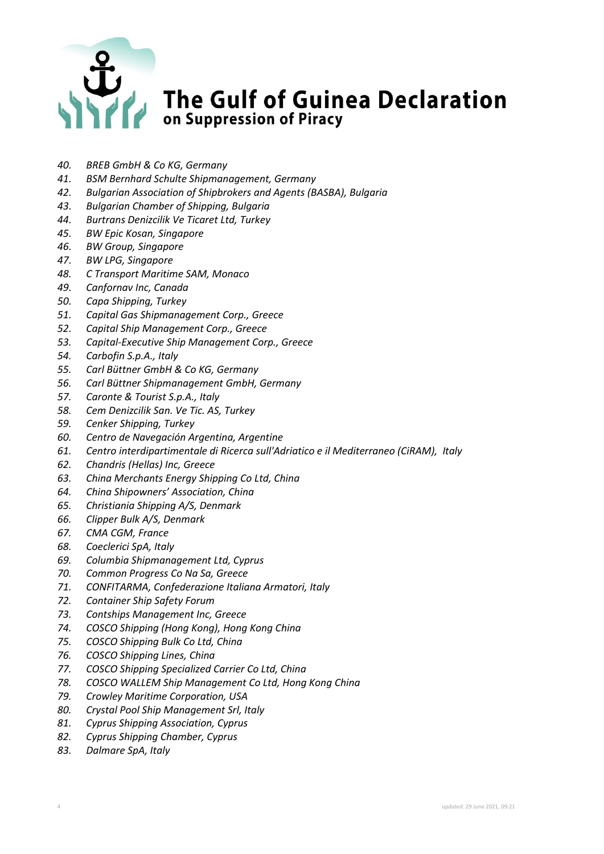

- *40. BREB GmbH & Co KG, Germany*
- *41. BSM Bernhard Schulte Shipmanagement, Germany*
- *42. Bulgarian Association of Shipbrokers and Agents (BASBA), Bulgaria*
- *43. Bulgarian Chamber of Shipping, Bulgaria*
- *44. Burtrans Denizcilik Ve Ticaret Ltd, Turkey*
- *45. BW Epic Kosan, Singapore*
- *46. BW Group, Singapore*
- *47. BW LPG, Singapore*
- *48. C Transport Maritime SAM, Monaco*
- *49. Canfornav Inc, Canada*
- *50. Capa Shipping, Turkey*
- *51. Capital Gas Shipmanagement Corp., Greece*
- *52. Capital Ship Management Corp., Greece*
- *53. Capital-Executive Ship Management Corp., Greece*
- *54. Carbofin S.p.A., Italy*
- *55. Carl Büttner GmbH & Co KG, Germany*
- *56. Carl Büttner Shipmanagement GmbH, Germany*
- *57. Caronte & Tourist S.p.A., Italy*
- *58. Cem Denizcilik San. Ve Tic. AS, Turkey*
- *59. Cenker Shipping, Turkey*
- *60. Centro de Navegación Argentina, Argentine*
- *61. Centro interdipartimentale di Ricerca sull'Adriatico e il Mediterraneo (CiRAM), Italy*
- *62. Chandris (Hellas) Inc, Greece*
- *63. China Merchants Energy Shipping Co Ltd, China*
- *64. China Shipowners' Association, China*
- *65. Christiania Shipping A/S, Denmark*
- *66. Clipper Bulk A/S, Denmark*
- *67. CMA CGM, France*
- *68. Coeclerici SpA, Italy*
- *69. Columbia Shipmanagement Ltd, Cyprus*
- *70. Common Progress Co Na Sa, Greece*
- *71. CONFITARMA, Confederazione Italiana Armatori, Italy*
- *72. Container Ship Safety Forum*
- *73. Contships Management Inc, Greece*
- *74. COSCO Shipping (Hong Kong), Hong Kong China*
- *75. COSCO Shipping Bulk Co Ltd, China*
- *76. COSCO Shipping Lines, China*
- *77. COSCO Shipping Specialized Carrier Co Ltd, China*
- *78. COSCO WALLEM Ship Management Co Ltd, Hong Kong China*
- *79. Crowley Maritime Corporation, USA*
- *80. Crystal Pool Ship Management Srl, Italy*
- *81. Cyprus Shipping Association, Cyprus*
- *82. Cyprus Shipping Chamber, Cyprus*
- *83. Dalmare SpA, Italy*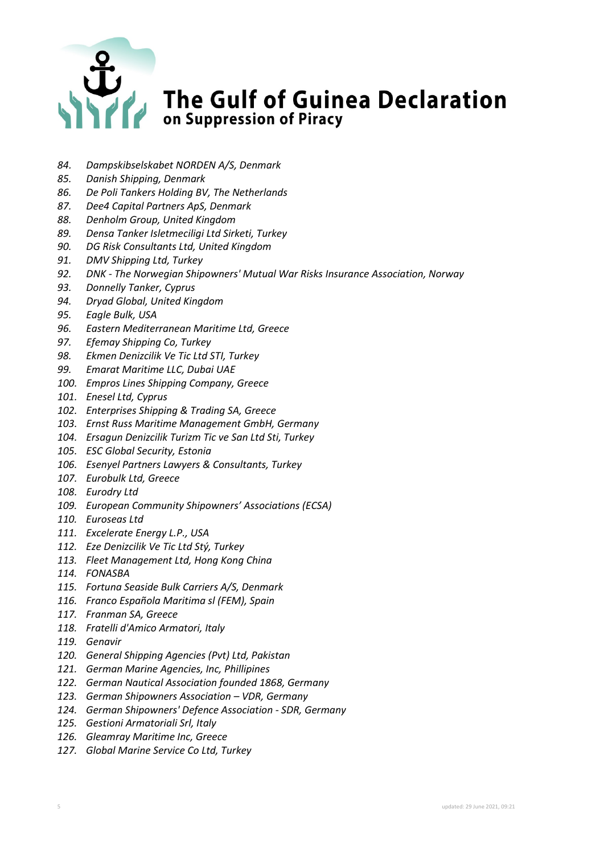

- *84. Dampskibselskabet NORDEN A/S, Denmark*
- *85. Danish Shipping, Denmark*
- *86. De Poli Tankers Holding BV, The Netherlands*
- *87. Dee4 Capital Partners ApS, Denmark*
- *88. Denholm Group, United Kingdom*
- *89. Densa Tanker Isletmeciligi Ltd Sirketi, Turkey*
- *90. DG Risk Consultants Ltd, United Kingdom*
- *91. DMV Shipping Ltd, Turkey*
- *92. DNK - The Norwegian Shipowners' Mutual War Risks Insurance Association, Norway*
- *93. Donnelly Tanker, Cyprus*
- *94. Dryad Global, United Kingdom*
- *95. Eagle Bulk, USA*
- *96. Eastern Mediterranean Maritime Ltd, Greece*
- *97. Efemay Shipping Co, Turkey*
- *98. Ekmen Denizcilik Ve Tic Ltd STI, Turkey*
- *99. Emarat Maritime LLC, Dubai UAE*
- *100. Empros Lines Shipping Company, Greece*
- *101. Enesel Ltd, Cyprus*
- *102. Enterprises Shipping & Trading SA, Greece*
- *103. Ernst Russ Maritime Management GmbH, Germany*
- *104. Ersagun Denizcilik Turizm Tic ve San Ltd Sti, Turkey*
- *105. ESC Global Security, Estonia*
- *106. Esenyel Partners Lawyers & Consultants, Turkey*
- *107. Eurobulk Ltd, Greece*
- *108. Eurodry Ltd*
- *109. European Community Shipowners' Associations (ECSA)*
- *110. Euroseas Ltd*
- *111. Excelerate Energy L.P., USA*
- *112. Eze Denizcilik Ve Tic Ltd Stý, Turkey*
- *113. Fleet Management Ltd, Hong Kong China*
- *114. FONASBA*
- *115. Fortuna Seaside Bulk Carriers A/S, Denmark*
- *116. Franco Española Maritima sl (FEM), Spain*
- *117. Franman SA, Greece*
- *118. Fratelli d'Amico Armatori, Italy*
- *119. Genavir*
- *120. General Shipping Agencies (Pvt) Ltd, Pakistan*
- *121. German Marine Agencies, Inc, Phillipines*
- *122. German Nautical Association founded 1868, Germany*
- *123. German Shipowners Association – VDR, Germany*
- *124. German Shipowners' Defence Association - SDR, Germany*
- *125. Gestioni Armatoriali Srl, Italy*
- *126. Gleamray Maritime Inc, Greece*
- *127. Global Marine Service Co Ltd, Turkey*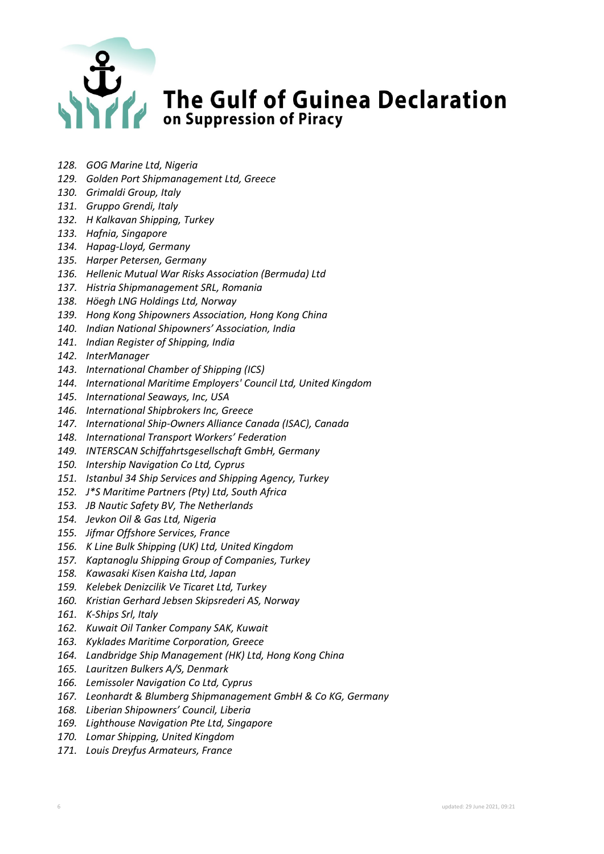

- *128. GOG Marine Ltd, Nigeria*
- *129. Golden Port Shipmanagement Ltd, Greece*
- *130. Grimaldi Group, Italy*
- *131. Gruppo Grendi, Italy*
- *132. H Kalkavan Shipping, Turkey*
- *133. Hafnia, Singapore*
- *134. Hapag-Lloyd, Germany*
- *135. Harper Petersen, Germany*
- *136. Hellenic Mutual War Risks Association (Bermuda) Ltd*
- *137. Histria Shipmanagement SRL, Romania*
- *138. Höegh LNG Holdings Ltd, Norway*
- *139. Hong Kong Shipowners Association, Hong Kong China*
- *140. Indian National Shipowners' Association, India*
- *141. Indian Register of Shipping, India*
- *142. InterManager*
- *143. International Chamber of Shipping (ICS)*
- *144. International Maritime Employers' Council Ltd, United Kingdom*
- *145. International Seaways, Inc, USA*
- *146. International Shipbrokers Inc, Greece*
- *147. International Ship-Owners Alliance Canada (ISAC), Canada*
- *148. International Transport Workers' Federation*
- *149. INTERSCAN Schiffahrtsgesellschaft GmbH, Germany*
- *150. Intership Navigation Co Ltd, Cyprus*
- *151. Istanbul 34 Ship Services and Shipping Agency, Turkey*
- *152. J\*S Maritime Partners (Pty) Ltd, South Africa*
- *153. JB Nautic Safety BV, The Netherlands*
- *154. Jevkon Oil & Gas Ltd, Nigeria*
- *155. Jifmar Offshore Services, France*
- *156. K Line Bulk Shipping (UK) Ltd, United Kingdom*
- *157. Kaptanoglu Shipping Group of Companies, Turkey*
- *158. Kawasaki Kisen Kaisha Ltd, Japan*
- *159. Kelebek Denizcilik Ve Ticaret Ltd, Turkey*
- *160. Kristian Gerhard Jebsen Skipsrederi AS, Norway*
- *161. K-Ships Srl, Italy*
- *162. Kuwait Oil Tanker Company SAK, Kuwait*
- *163. Kyklades Maritime Corporation, Greece*
- *164. Landbridge Ship Management (HK) Ltd, Hong Kong China*
- *165. Lauritzen Bulkers A/S, Denmark*
- *166. Lemissoler Navigation Co Ltd, Cyprus*
- *167. Leonhardt & Blumberg Shipmanagement GmbH & Co KG, Germany*
- *168. Liberian Shipowners' Council, Liberia*
- *169. Lighthouse Navigation Pte Ltd, Singapore*
- *170. Lomar Shipping, United Kingdom*
- *171. Louis Dreyfus Armateurs, France*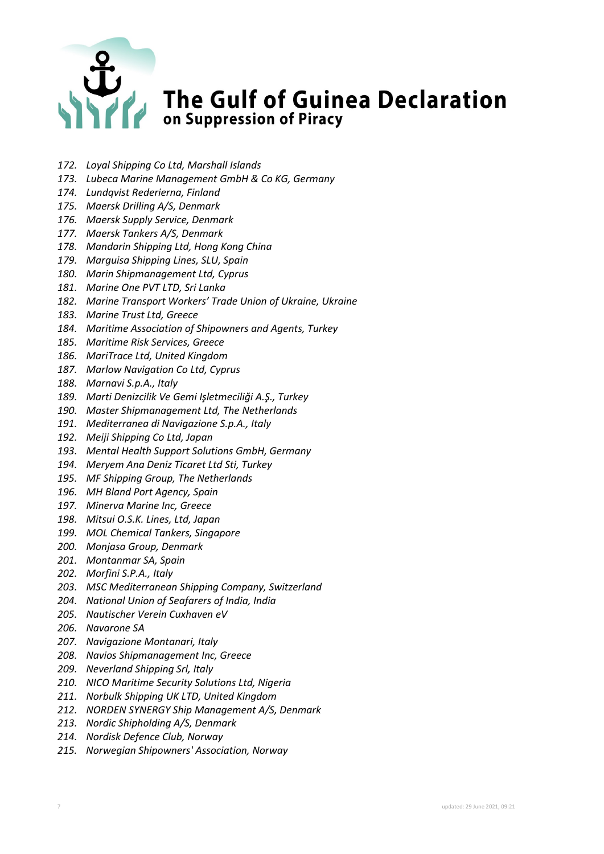

- *172. Loyal Shipping Co Ltd, Marshall Islands*
- *173. Lubeca Marine Management GmbH & Co KG, Germany*
- *174. Lundqvist Rederierna, Finland*
- *175. Maersk Drilling A/S, Denmark*
- *176. Maersk Supply Service, Denmark*
- *177. Maersk Tankers A/S, Denmark*
- *178. Mandarin Shipping Ltd, Hong Kong China*
- *179. Marguisa Shipping Lines, SLU, Spain*
- *180. Marin Shipmanagement Ltd, Cyprus*
- *181. Marine One PVT LTD, Sri Lanka*
- *182. Marine Transport Workers' Trade Union of Ukraine, Ukraine*
- *183. Marine Trust Ltd, Greece*
- *184. Maritime Association of Shipowners and Agents, Turkey*
- *185. Maritime Risk Services, Greece*
- *186. MariTrace Ltd, United Kingdom*
- *187. Marlow Navigation Co Ltd, Cyprus*
- *188. Marnavi S.p.A., Italy*
- *189. Marti Denizcilik Ve Gemi Işletmeciliği A.Ş., Turkey*
- *190. Master Shipmanagement Ltd, The Netherlands*
- *191. Mediterranea di Navigazione S.p.A., Italy*
- *192. Meiji Shipping Co Ltd, Japan*
- *193. Mental Health Support Solutions GmbH, Germany*
- *194. Meryem Ana Deniz Ticaret Ltd Sti, Turkey*
- *195. MF Shipping Group, The Netherlands*
- *196. MH Bland Port Agency, Spain*
- *197. Minerva Marine Inc, Greece*
- *198. Mitsui O.S.K. Lines, Ltd, Japan*
- *199. MOL Chemical Tankers, Singapore*
- *200. Monjasa Group, Denmark*
- *201. Montanmar SA, Spain*
- *202. Morfini S.P.A., Italy*
- *203. MSC Mediterranean Shipping Company, Switzerland*
- *204. National Union of Seafarers of India, India*
- *205. Nautischer Verein Cuxhaven eV*
- *206. Navarone SA*
- *207. Navigazione Montanari, Italy*
- *208. Navios Shipmanagement Inc, Greece*
- *209. Neverland Shipping Srl, Italy*
- *210. NICO Maritime Security Solutions Ltd, Nigeria*
- *211. Norbulk Shipping UK LTD, United Kingdom*
- *212. NORDEN SYNERGY Ship Management A/S, Denmark*
- *213. Nordic Shipholding A/S, Denmark*
- *214. Nordisk Defence Club, Norway*
- *215. Norwegian Shipowners' Association, Norway*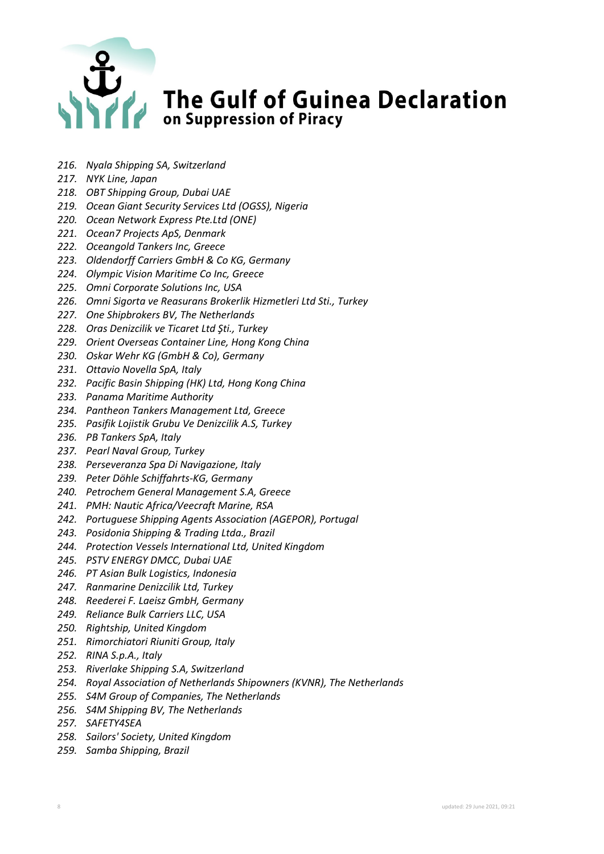## The Gulf of Guinea Declaration

- *216. Nyala Shipping SA, Switzerland*
- *217. NYK Line, Japan*
- *218. OBT Shipping Group, Dubai UAE*
- *219. Ocean Giant Security Services Ltd (OGSS), Nigeria*
- *220. Ocean Network Express Pte.Ltd (ONE)*
- *221. Ocean7 Projects ApS, Denmark*
- *222. Oceangold Tankers Inc, Greece*
- *223. Oldendorff Carriers GmbH & Co KG, Germany*
- *224. Olympic Vision Maritime Co Inc, Greece*
- *225. Omni Corporate Solutions Inc, USA*
- *226. Omni Sigorta ve Reasurans Brokerlik Hizmetleri Ltd Sti., Turkey*
- *227. One Shipbrokers BV, The Netherlands*
- *228. Oras Denizcilik ve Ticaret Ltd Şti., Turkey*
- *229. Orient Overseas Container Line, Hong Kong China*
- *230. Oskar Wehr KG (GmbH & Co), Germany*
- *231. Ottavio Novella SpA, Italy*
- *232. Pacific Basin Shipping (HK) Ltd, Hong Kong China*
- *233. Panama Maritime Authority*
- *234. Pantheon Tankers Management Ltd, Greece*
- *235. Pasifik Lojistik Grubu Ve Denizcilik A.S, Turkey*
- *236. PB Tankers SpA, Italy*
- *237. Pearl Naval Group, Turkey*
- *238. Perseveranza Spa Di Navigazione, Italy*
- *239. Peter Döhle Schiffahrts-KG, Germany*
- *240. Petrochem General Management S.A, Greece*
- *241. PMH: Nautic Africa/Veecraft Marine, RSA*
- *242. Portuguese Shipping Agents Association (AGEPOR), Portugal*
- *243. Posidonia Shipping & Trading Ltda., Brazil*
- *244. Protection Vessels International Ltd, United Kingdom*
- *245. PSTV ENERGY DMCC, Dubai UAE*
- *246. PT Asian Bulk Logistics, Indonesia*
- *247. Ranmarine Denizcilik Ltd, Turkey*
- *248. Reederei F. Laeisz GmbH, Germany*
- *249. Reliance Bulk Carriers LLC, USA*
- *250. Rightship, United Kingdom*
- *251. Rimorchiatori Riuniti Group, Italy*
- *252. RINA S.p.A., Italy*
- *253. Riverlake Shipping S.A, Switzerland*
- *254. Royal Association of Netherlands Shipowners (KVNR), The Netherlands*
- *255. S4M Group of Companies, The Netherlands*
- *256. S4M Shipping BV, The Netherlands*
- *257. SAFETY4SEA*
- *258. Sailors' Society, United Kingdom*
- *259. Samba Shipping, Brazil*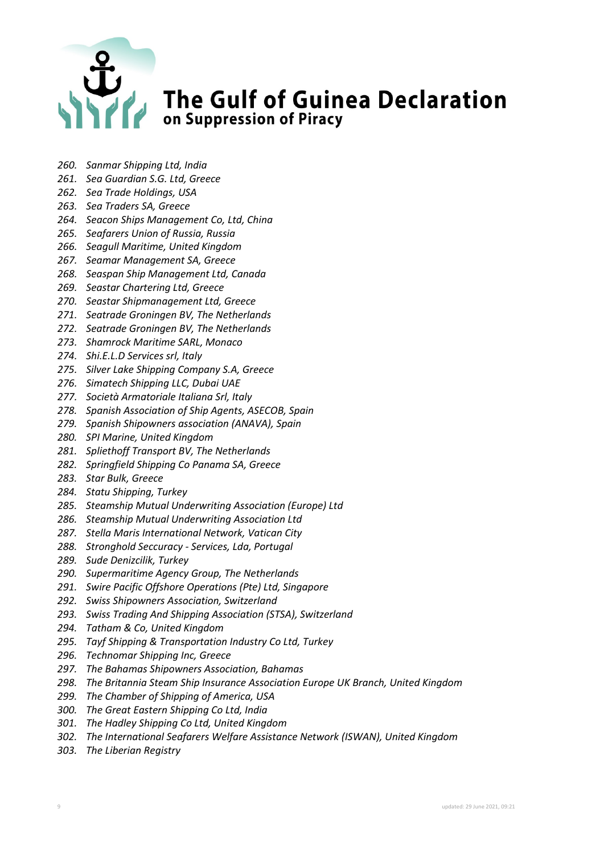

- *260. Sanmar Shipping Ltd, India*
- *261. Sea Guardian S.G. Ltd, Greece*
- *262. Sea Trade Holdings, USA*
- *263. Sea Traders SA, Greece*
- *264. Seacon Ships Management Co, Ltd, China*
- *265. Seafarers Union of Russia, Russia*
- *266. Seagull Maritime, United Kingdom*
- *267. Seamar Management SA, Greece*
- *268. Seaspan Ship Management Ltd, Canada*
- *269. Seastar Chartering Ltd, Greece*
- *270. Seastar Shipmanagement Ltd, Greece*
- *271. Seatrade Groningen BV, The Netherlands*
- *272. Seatrade Groningen BV, The Netherlands*
- *273. Shamrock Maritime SARL, Monaco*
- *274. Shi.E.L.D Services srl, Italy*
- *275. Silver Lake Shipping Company S.A, Greece*
- *276. Simatech Shipping LLC, Dubai UAE*
- *277. Società Armatoriale Italiana Srl, Italy*
- *278. Spanish Association of Ship Agents, ASECOB, Spain*
- *279. Spanish Shipowners association (ANAVA), Spain*
- *280. SPI Marine, United Kingdom*
- *281. Spliethoff Transport BV, The Netherlands*
- *282. Springfield Shipping Co Panama SA, Greece*
- *283. Star Bulk, Greece*
- *284. Statu Shipping, Turkey*
- *285. Steamship Mutual Underwriting Association (Europe) Ltd*
- *286. Steamship Mutual Underwriting Association Ltd*
- *287. Stella Maris International Network, Vatican City*
- *288. Stronghold Seccuracy - Services, Lda, Portugal*
- *289. Sude Denizcilik, Turkey*
- *290. Supermaritime Agency Group, The Netherlands*
- *291. Swire Pacific Offshore Operations (Pte) Ltd, Singapore*
- *292. Swiss Shipowners Association, Switzerland*
- *293. Swiss Trading And Shipping Association (STSA), Switzerland*
- *294. Tatham & Co, United Kingdom*
- *295. Tayf Shipping & Transportation Industry Co Ltd, Turkey*
- *296. Technomar Shipping Inc, Greece*
- *297. The Bahamas Shipowners Association, Bahamas*
- *298. The Britannia Steam Ship Insurance Association Europe UK Branch, United Kingdom*
- *299. The Chamber of Shipping of America, USA*
- *300. The Great Eastern Shipping Co Ltd, India*
- *301. The Hadley Shipping Co Ltd, United Kingdom*
- *302. The International Seafarers Welfare Assistance Network (ISWAN), United Kingdom*
- *303. The Liberian Registry*